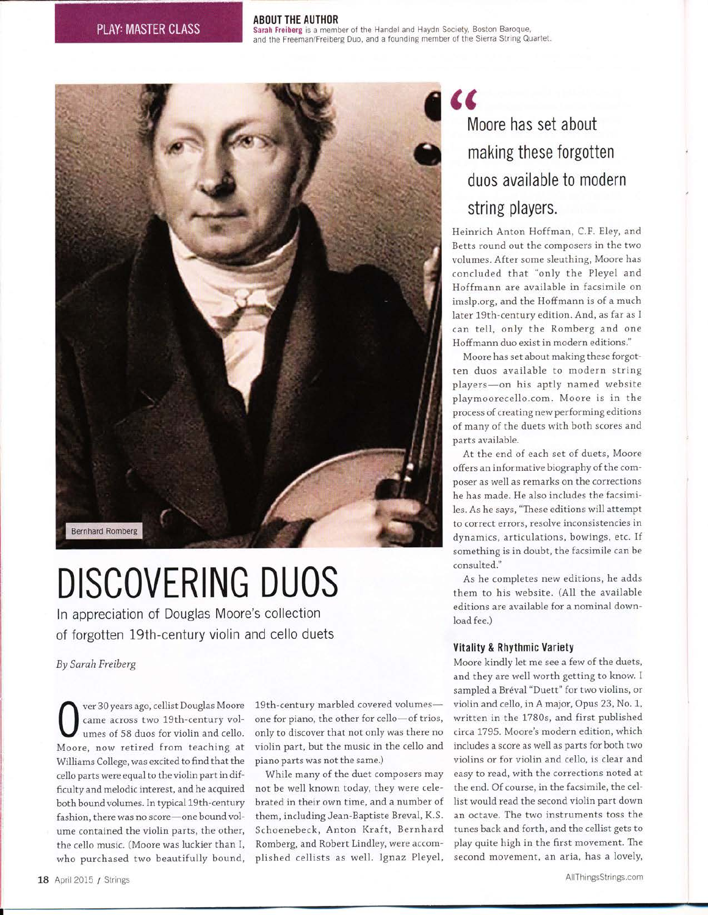#### ABOUT THE AUTHOR

Sarah Freiberg is a member of the Handel and Haydn Society, Boston Baroque, and the Freeman/Freiberg Duo, and a founding member of the Sierra String Quartet.



## DISCOVERING DUOS

In appreciation of Douglas Moore's collection of forgotten l9th-century violin and cello duets

By Sarah Freiberg

ver 30 years ago, cellist Dougias Moore came across two 19th-century volumes of 58 duos for violin and cello. Moore, now retired from teaching at Williams College, was excited to find that the cello parts were equal to the violin part in difficulty and melodic interest, and he acquired both bound volumes. In typical 19th-century fashion, there was no score-one bound volume contained the violin parts, the other, the cello music. (Moore was luckier than I, who purchased two beautifully bound,

19th-century marbled covered volumesone for piano, the other for cello-of trios, only to discover that not only was there no violin part, but the music in the cello and piano parts was not the same.)

While many of the duet composers may not be well known today, they were celebrated in their own time, and a number of them, including Jean-Baptiste Breval, K.S. Schoenebeck, Anton Kraft, Bernhard Romberg, and Robert Lindley, were accomplished cellists as we11. Ignaz Pleyel,

### K Moore has set about making these forgotten duos available to modern string players.

Heinrich Anton Hoffman, C.F. EIey, and Betts round out the composers in the two volumes. After some sleuthing, Moore has concluded that "only the Pleyel and Hoffmann are available in facsimile on imslp.org, and the Hoffmann is of a much later 19th-century edition. And, as far as I can te1l, only the Romberg and one Hoffmann duo exist in modern editions."

Moore has set about making these forgotten duos available to modern string players-on his aptly named website playmoorecello.com. Moore is in the process of creating new performing editions of many of the duets with both scores and parts available.

At the end of each set of duets, Moore offers an informative biography of the composer as well as remarks on the corrections he has made. He also includes the facsimiles. As he says, "These editions will attempt to correct errors, resolve inconsistencies in dynamics, articulations, bowings, etc. If something is in doubt, the facsimile can be consulted."

As he completes new editions, he adds them to his website. (A1l the available editions are available for a nominal download fee.)

#### Vitality & Rhythmic Variety

Moore kindly let me see a few of the duets, and they are well worth getting to know. I sampled a Bréval "Duett" for two violins, or violin and ce11o, in A major, Opus 23, No. 1, written in the 1780s, and first published circa1795. Moore's modern edition, which includes a score as well as parts for both two violins or for violin and cello, is clear and easy to read, with the corrections noted at the end. Of course, in the facsimile, the cellist would read the second violin part down an octave. The two instruments toss the tunes back and forth, and the cellist gets to play quite high in the first movement. The second movement, an aria, has a loveIy,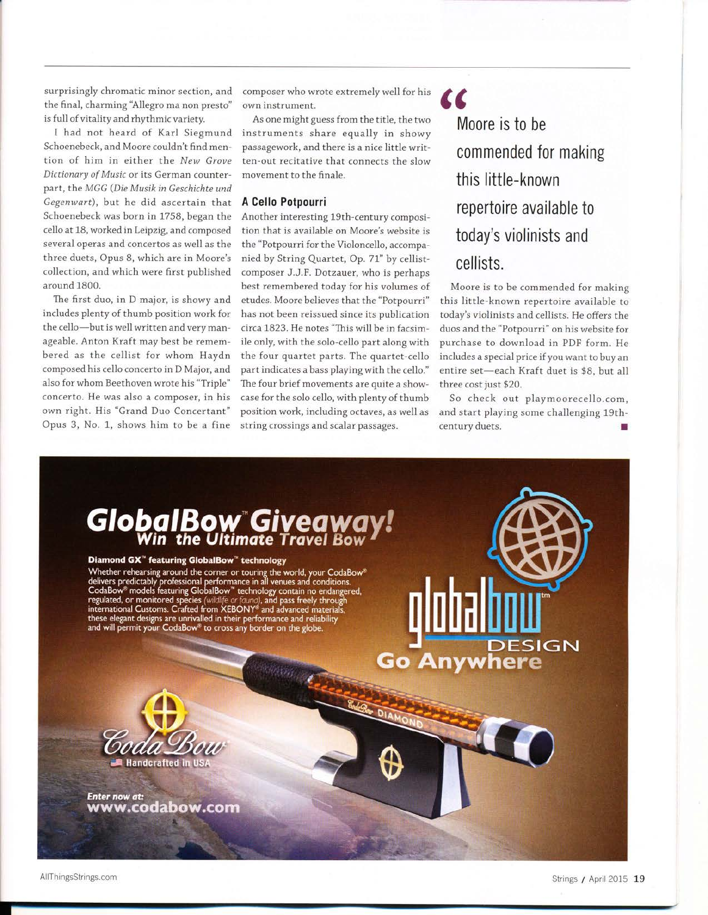surprisingly chromatic minor section, and the final, charming'AIIegro ma non presto" is full of vitality and rhythmic variety.

I had not heard of Karl Siegmund Schoenebeck, and Moore couldn't find mention of him in either the New Grove Dictionary of Music or its German counterpart, the MGG (Die Musik in Geschichte und Gegenwart), but he did ascertain that Schoenebeck was born in 1758, began the cello at 18, worked in Leipzig, and composed several operas and concertos as well as the three duets, Opus B, which are in Moore's collection, and which were first published around 1800.

The first duo, in D major, is showy and includes plenty of thumb position work for the cello-but is well written and very manageable. Anton Kraft may best be remembered as the cellist for whom Haydn composed his cello concerto in D Major, and also for whom Beethoven wrote his "Triple" concerto. He was also a composer, in his own right. His "Grand Duo Concertant" Opus 3, No. 1, shows him to be a fine

composer who wrote extremely well for his own instrument.

As one might guess from the title, the two instruments share equally in showy passagework, and there is a nice little written-out recitative that connects the slow movement to the finale.

#### A Cello Potpourri

Another interesting 19th-century composition that is available on Moore's website is the "Potpourri for the Violoncello, accompanied by String Quartet, Op.71" by cellistcomposer J.J.F. Dotzauer, who is perhaps best remembered today for his volumes of etudes. Moore believes that the "Potpourri" has not been reissued since its publication circa L823. He notes "This will be in facsimile only, with the solo-cello part along with the four quartet parts. The quartet-cello part indicates a bass playing with the cello." The four brief movements are quite a showcase for the solo cello, with plenty of thumb position work, including octaves, as well as string crossings and scalar passages.

Moore is to be commended for making this little-known repertoire available to today's violinists and cellists.

 $\alpha$ 

Moore is to be commended for making this little-known repertoire available to today's violinists and cellists. He offers the duos and the "Potpourri" on his website for purchase to download in PDF form. He includes a special price if you want to buy an entire set-each Kraft duet is \$8, but all three cost just \$20.

So check out playmoorecello.com, and start playing some challenging 19thcentury duets.



AllThingsStrings.com